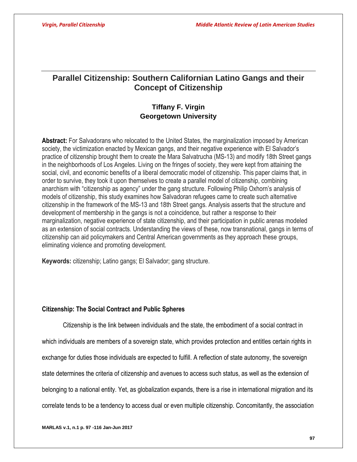# **Parallel Citizenship: Southern Californian Latino Gangs and their Concept of Citizenship**

# **Tiffany F. Virgin Georgetown University**

**Abstract:** For Salvadorans who relocated to the United States, the marginalization imposed by American society, the victimization enacted by Mexican gangs, and their negative experience with El Salvador's practice of citizenship brought them to create the Mara Salvatrucha (MS-13) and modify 18th Street gangs in the neighborhoods of Los Angeles. Living on the fringes of society, they were kept from attaining the social, civil, and economic benefits of a liberal democratic model of citizenship. This paper claims that, in order to survive, they took it upon themselves to create a parallel model of citizenship, combining anarchism with "citizenship as agency" under the gang structure. Following Philip Oxhorn's analysis of models of citizenship, this study examines how Salvadoran refugees came to create such alternative citizenship in the framework of the MS-13 and 18th Street gangs. Analysis asserts that the structure and development of membership in the gangs is not a coincidence, but rather a response to their marginalization, negative experience of state citizenship, and their participation in public arenas modeled as an extension of social contracts. Understanding the views of these, now transnational, gangs in terms of citizenship can aid policymakers and Central American governments as they approach these groups, eliminating violence and promoting development.

**Keywords:** citizenship; Latino gangs; El Salvador; gang structure.

## **Citizenship: The Social Contract and Public Spheres**

Citizenship is the link between individuals and the state, the embodiment of a social contract in which individuals are members of a sovereign state, which provides protection and entitles certain rights in exchange for duties those individuals are expected to fulfill. A reflection of state autonomy, the sovereign state determines the criteria of citizenship and avenues to access such status, as well as the extension of belonging to a national entity. Yet, as globalization expands, there is a rise in international migration and its correlate tends to be a tendency to access dual or even multiple citizenship. Concomitantly, the association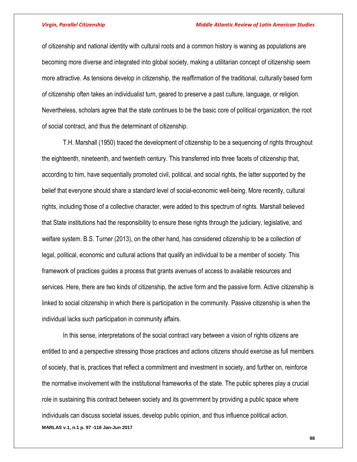of citizenship and national identity with cultural roots and a common history is waning as populations are becoming more diverse and integrated into global society, making a utilitarian concept of citizenship seem more attractive. As tensions develop in citizenship, the reaffirmation of the traditional, culturally based form of citizenship often takes an individualist turn, geared to preserve a past culture, language, or religion. Nevertheless, scholars agree that the state continues to be the basic core of political organization, the root of social contract, and thus the determinant of citizenship.

T.H. Marshall (1950) traced the development of citizenship to be a sequencing of rights throughout the eighteenth, nineteenth, and twentieth century. This transferred into three facets of citizenship that, according to him, have sequentially promoted civil, political, and social rights, the latter supported by the belief that everyone should share a standard level of social-economic well-being. More recently, cultural rights, including those of a collective character, were added to this spectrum of rights. Marshall believed that State institutions had the responsibility to ensure these rights through the judiciary, legislative, and welfare system. B.S. Turner (2013), on the other hand, has considered citizenship to be a collection of legal, political, economic and cultural actions that qualify an individual to be a member of society. This framework of practices guides a process that grants avenues of access to available resources and services. Here, there are two kinds of citizenship, the active form and the passive form. Active citizenship is linked to social citizenship in which there is participation in the community. Passive citizenship is when the individual lacks such participation in community affairs.

**MARLAS v.1, n.1 p. 97 -116 Jan-Jun 2017** In this sense, interpretations of the social contract vary between a vision of rights citizens are entitled to and a perspective stressing those practices and actions citizens should exercise as full members of society, that is, practices that reflect a commitment and investment in society, and further on, reinforce the normative involvement with the institutional frameworks of the state. The public spheres play a crucial role in sustaining this contract between society and its government by providing a public space where individuals can discuss societal issues, develop public opinion, and thus influence political action.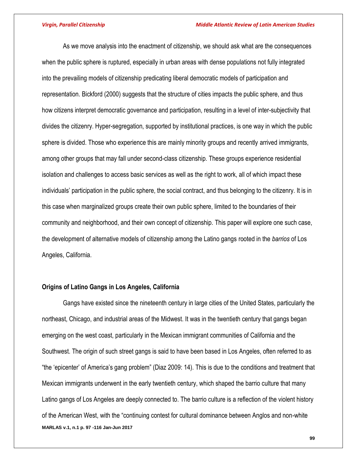As we move analysis into the enactment of citizenship, we should ask what are the consequences when the public sphere is ruptured, especially in urban areas with dense populations not fully integrated into the prevailing models of citizenship predicating liberal democratic models of participation and representation. Bickford (2000) suggests that the structure of cities impacts the public sphere, and thus how citizens interpret democratic governance and participation, resulting in a level of inter-subjectivity that divides the citizenry. Hyper-segregation, supported by institutional practices, is one way in which the public sphere is divided. Those who experience this are mainly minority groups and recently arrived immigrants, among other groups that may fall under second-class citizenship. These groups experience residential isolation and challenges to access basic services as well as the right to work, all of which impact these individuals' participation in the public sphere, the social contract, and thus belonging to the citizenry. It is in this case when marginalized groups create their own public sphere, limited to the boundaries of their community and neighborhood, and their own concept of citizenship. This paper will explore one such case, the development of alternative models of citizenship among the Latino gangs rooted in the *barrios* of Los Angeles, California.

### **Origins of Latino Gangs in Los Angeles, California**

**MARLAS v.1, n.1 p. 97 -116 Jan-Jun 2017** Gangs have existed since the nineteenth century in large cities of the United States, particularly the northeast, Chicago, and industrial areas of the Midwest. It was in the twentieth century that gangs began emerging on the west coast, particularly in the Mexican immigrant communities of California and the Southwest. The origin of such street gangs is said to have been based in Los Angeles, often referred to as "the 'epicenter' of America's gang problem" (Diaz 2009: 14). This is due to the conditions and treatment that Mexican immigrants underwent in the early twentieth century, which shaped the barrio culture that many Latino gangs of Los Angeles are deeply connected to. The barrio culture is a reflection of the violent history of the American West, with the "continuing contest for cultural dominance between Anglos and non-white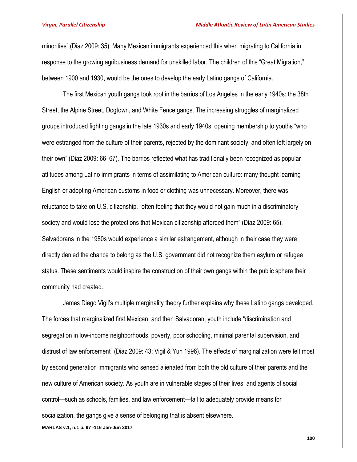### *Virgin, Parallel Citizenship Middle Atlantic Review of Latin American Studies*

minorities" (Diaz 2009: 35). Many Mexican immigrants experienced this when migrating to California in response to the growing agribusiness demand for unskilled labor. The children of this "Great Migration," between 1900 and 1930, would be the ones to develop the early Latino gangs of California.

The first Mexican youth gangs took root in the barrios of Los Angeles in the early 1940s: the 38th Street, the Alpine Street, Dogtown, and White Fence gangs. The increasing struggles of marginalized groups introduced fighting gangs in the late 1930s and early 1940s, opening membership to youths "who were estranged from the culture of their parents, rejected by the dominant society, and often left largely on their own" (Diaz 2009: 66–67). The barrios reflected what has traditionally been recognized as popular attitudes among Latino immigrants in terms of assimilating to American culture: many thought learning English or adopting American customs in food or clothing was unnecessary. Moreover, there was reluctance to take on U.S. citizenship, "often feeling that they would not gain much in a discriminatory society and would lose the protections that Mexican citizenship afforded them" (Diaz 2009: 65). Salvadorans in the 1980s would experience a similar estrangement, although in their case they were directly denied the chance to belong as the U.S. government did not recognize them asylum or refugee status. These sentiments would inspire the construction of their own gangs within the public sphere their community had created.

**MARLAS v.1, n.1 p. 97 -116 Jan-Jun 2017** James Diego Vigil's multiple marginality theory further explains why these Latino gangs developed. The forces that marginalized first Mexican, and then Salvadoran, youth include "discrimination and segregation in low-income neighborhoods, poverty, poor schooling, minimal parental supervision, and distrust of law enforcement" (Diaz 2009: 43; Vigil & Yun 1996). The effects of marginalization were felt most by second generation immigrants who sensed alienated from both the old culture of their parents and the new culture of American society. As youth are in vulnerable stages of their lives, and agents of social control—such as schools, families, and law enforcement—fail to adequately provide means for socialization, the gangs give a sense of belonging that is absent elsewhere.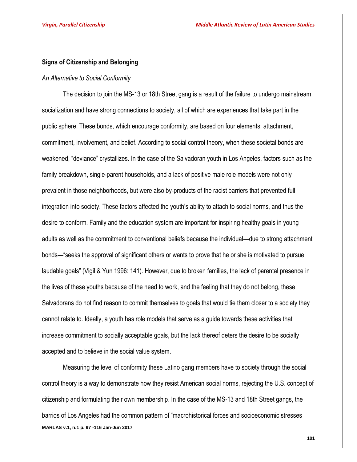### **Signs of Citizenship and Belonging**

### *An Alternative to Social Conformity*

The decision to join the MS-13 or 18th Street gang is a result of the failure to undergo mainstream socialization and have strong connections to society, all of which are experiences that take part in the public sphere. These bonds, which encourage conformity, are based on four elements: attachment, commitment, involvement, and belief. According to social control theory, when these societal bonds are weakened, "deviance" crystallizes. In the case of the Salvadoran youth in Los Angeles, factors such as the family breakdown, single-parent households, and a lack of positive male role models were not only prevalent in those neighborhoods, but were also by-products of the racist barriers that prevented full integration into society. These factors affected the youth's ability to attach to social norms, and thus the desire to conform. Family and the education system are important for inspiring healthy goals in young adults as well as the commitment to conventional beliefs because the individual—due to strong attachment bonds—"seeks the approval of significant others or wants to prove that he or she is motivated to pursue laudable goals" (Vigil & Yun 1996: 141). However, due to broken families, the lack of parental presence in the lives of these youths because of the need to work, and the feeling that they do not belong, these Salvadorans do not find reason to commit themselves to goals that would tie them closer to a society they cannot relate to. Ideally, a youth has role models that serve as a guide towards these activities that increase commitment to socially acceptable goals, but the lack thereof deters the desire to be socially accepted and to believe in the social value system.

**MARLAS v.1, n.1 p. 97 -116 Jan-Jun 2017** Measuring the level of conformity these Latino gang members have to society through the social control theory is a way to demonstrate how they resist American social norms, rejecting the U.S. concept of citizenship and formulating their own membership. In the case of the MS-13 and 18th Street gangs, the barrios of Los Angeles had the common pattern of "macrohistorical forces and socioeconomic stresses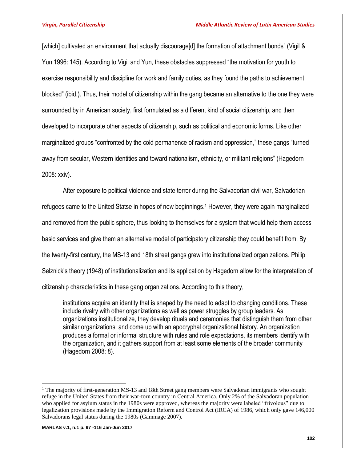[which] cultivated an environment that actually discourage[d] the formation of attachment bonds" (Vigil & Yun 1996: 145). According to Vigil and Yun, these obstacles suppressed "the motivation for youth to exercise responsibility and discipline for work and family duties, as they found the paths to achievement blocked" (ibid.). Thus, their model of citizenship within the gang became an alternative to the one they were surrounded by in American society, first formulated as a different kind of social citizenship, and then developed to incorporate other aspects of citizenship, such as political and economic forms. Like other marginalized groups "confronted by the cold permanence of racism and oppression," these gangs "turned away from secular, Western identities and toward nationalism, ethnicity, or militant religions" (Hagedorn 2008: xxiv).

After exposure to political violence and state terror during the Salvadorian civil war, Salvadorian refugees came to the United Statse in hopes of new beginnings. <sup>1</sup> However, they were again marginalized and removed from the public sphere, thus looking to themselves for a system that would help them access basic services and give them an alternative model of participatory citizenship they could benefit from. By the twenty-first century, the MS-13 and 18th street gangs grew into institutionalized organizations. Philip Selznick's theory (1948) of institutionalization and its application by Hagedorn allow for the interpretation of citizenship characteristics in these gang organizations. According to this theory,

institutions acquire an identity that is shaped by the need to adapt to changing conditions. These include rivalry with other organizations as well as power struggles by group leaders. As organizations institutionalize, they develop rituals and ceremonies that distinguish them from other similar organizations, and come up with an apocryphal organizational history. An organization produces a formal or informal structure with rules and role expectations, its members identify with the organization, and it gathers support from at least some elements of the broader community (Hagedorn 2008: 8).

**MARLAS v.1, n.1 p. 97 -116 Jan-Jun 2017**

 $\overline{a}$ 

<sup>&</sup>lt;sup>1</sup> The majority of first-generation MS-13 and 18th Street gang members were Salvadoran immigrants who sought refuge in the United States from their war-torn country in Central America. Only 2% of the Salvadoran population who applied for asylum status in the 1980s were approved, whereas the majority were labeled "frivolous" due to legalization provisions made by the Immigration Reform and Control Act (IRCA) of 1986, which only gave 146,000 Salvadorans legal status during the 1980s (Gammage 2007).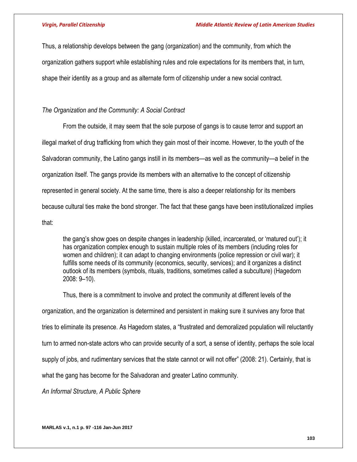Thus, a relationship develops between the gang (organization) and the community, from which the organization gathers support while establishing rules and role expectations for its members that, in turn, shape their identity as a group and as alternate form of citizenship under a new social contract.

# *The Organization and the Community: A Social Contract*

From the outside, it may seem that the sole purpose of gangs is to cause terror and support an illegal market of drug trafficking from which they gain most of their income. However, to the youth of the Salvadoran community, the Latino gangs instill in its members—as well as the community—a belief in the organization itself. The gangs provide its members with an alternative to the concept of citizenship represented in general society. At the same time, there is also a deeper relationship for its members because cultural ties make the bond stronger. The fact that these gangs have been institutionalized implies that:

the gang's show goes on despite changes in leadership (killed, incarcerated, or 'matured out'); it has organization complex enough to sustain multiple roles of its members (including roles for women and children); it can adapt to changing environments (police repression or civil war); it fulfills some needs of its community (economics, security, services); and it organizes a distinct outlook of its members (symbols, rituals, traditions, sometimes called a subculture) (Hagedorn 2008: 9–10).

Thus, there is a commitment to involve and protect the community at different levels of the organization, and the organization is determined and persistent in making sure it survives any force that tries to eliminate its presence. As Hagedorn states, a "frustrated and demoralized population will reluctantly turn to armed non-state actors who can provide security of a sort, a sense of identity, perhaps the sole local supply of jobs, and rudimentary services that the state cannot or will not offer" (2008: 21). Certainly, that is what the gang has become for the Salvadoran and greater Latino community.

*An Informal Structure, A Public Sphere*

**MARLAS v.1, n.1 p. 97 -116 Jan-Jun 2017**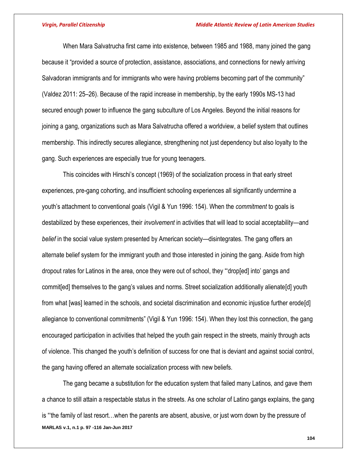When Mara Salvatrucha first came into existence, between 1985 and 1988, many joined the gang because it "provided a source of protection, assistance, associations, and connections for newly arriving Salvadoran immigrants and for immigrants who were having problems becoming part of the community" (Valdez 2011: 25–26). Because of the rapid increase in membership, by the early 1990s MS-13 had secured enough power to influence the gang subculture of Los Angeles. Beyond the initial reasons for joining a gang, organizations such as Mara Salvatrucha offered a worldview, a belief system that outlines membership. This indirectly secures allegiance, strengthening not just dependency but also loyalty to the gang. Such experiences are especially true for young teenagers.

This coincides with Hirschi's concept (1969) of the socialization process in that early street experiences, pre-gang cohorting, and insufficient schooling experiences all significantly undermine a youth's attachment to conventional goals (Vigil & Yun 1996: 154). When the *commitment* to goals is destabilized by these experiences, their *involvement* in activities that will lead to social acceptability—and *belief* in the social value system presented by American society—disintegrates. The gang offers an alternate belief system for the immigrant youth and those interested in joining the gang. Aside from high dropout rates for Latinos in the area, once they were out of school, they "'drop[ed] into' gangs and commit[ed] themselves to the gang's values and norms. Street socialization additionally alienate[d] youth from what [was] learned in the schools, and societal discrimination and economic injustice further erode[d] allegiance to conventional commitments" (Vigil & Yun 1996: 154). When they lost this connection, the gang encouraged participation in activities that helped the youth gain respect in the streets, mainly through acts of violence. This changed the youth's definition of success for one that is deviant and against social control, the gang having offered an alternate socialization process with new beliefs.

**MARLAS v.1, n.1 p. 97 -116 Jan-Jun 2017** The gang became a substitution for the education system that failed many Latinos, and gave them a chance to still attain a respectable status in the streets. As one scholar of Latino gangs explains, the gang is "'the family of last resort…when the parents are absent, abusive, or just worn down by the pressure of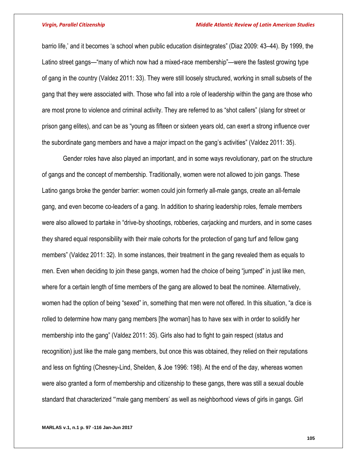barrio life,' and it becomes 'a school when public education disintegrates" (Diaz 2009: 43–44). By 1999, the Latino street gangs—"many of which now had a mixed-race membership"—were the fastest growing type of gang in the country (Valdez 2011: 33). They were still loosely structured, working in small subsets of the gang that they were associated with. Those who fall into a role of leadership within the gang are those who are most prone to violence and criminal activity. They are referred to as "shot callers" (slang for street or prison gang elites), and can be as "young as fifteen or sixteen years old, can exert a strong influence over the subordinate gang members and have a major impact on the gang's activities" (Valdez 2011: 35).

Gender roles have also played an important, and in some ways revolutionary, part on the structure of gangs and the concept of membership. Traditionally, women were not allowed to join gangs. These Latino gangs broke the gender barrier: women could join formerly all-male gangs, create an all-female gang, and even become co-leaders of a gang. In addition to sharing leadership roles, female members were also allowed to partake in "drive-by shootings, robberies, carjacking and murders, and in some cases they shared equal responsibility with their male cohorts for the protection of gang turf and fellow gang members" (Valdez 2011: 32). In some instances, their treatment in the gang revealed them as equals to men. Even when deciding to join these gangs, women had the choice of being "jumped" in just like men, where for a certain length of time members of the gang are allowed to beat the nominee. Alternatively, women had the option of being "sexed" in, something that men were not offered. In this situation, "a dice is rolled to determine how many gang members [the woman] has to have sex with in order to solidify her membership into the gang" (Valdez 2011: 35). Girls also had to fight to gain respect (status and recognition) just like the male gang members, but once this was obtained, they relied on their reputations and less on fighting (Chesney-Lind, Shelden, & Joe 1996: 198). At the end of the day, whereas women were also granted a form of membership and citizenship to these gangs, there was still a sexual double standard that characterized "'male gang members' as well as neighborhood views of girls in gangs. Girl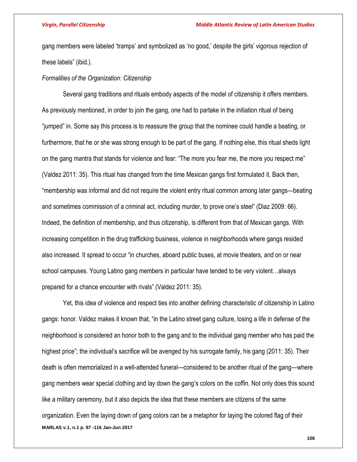gang members were labeled 'tramps' and symbolized as 'no good,' despite the girls' vigorous rejection of these labels" (ibid.).

### *Formalities of the Organization: Citizenship*

Several gang traditions and rituals embody aspects of the model of citizenship it offers members. As previously mentioned, in order to join the gang, one had to partake in the initiation ritual of being "jumped" in. Some say this process is to reassure the group that the nominee could handle a beating, or furthermore, that he or she was strong enough to be part of the gang. If nothing else, this ritual sheds light on the gang mantra that stands for violence and fear: "The more you fear me, the more you respect me" (Valdez 2011: 35). This ritual has changed from the time Mexican gangs first formulated it. Back then, "membership was informal and did not require the violent entry ritual common among later gangs—beating and sometimes commission of a criminal act, including murder, to prove one's steel" (Diaz 2009: 66). Indeed, the definition of membership, and thus citizenship, is different from that of Mexican gangs. With increasing competition in the drug trafficking business, violence in neighborhoods where gangs resided also increased. It spread to occur "in churches, aboard public buses, at movie theaters, and on or near school campuses. Young Latino gang members in particular have tended to be very violent…always prepared for a chance encounter with rivals" (Valdez 2011: 35).

**MARLAS v.1, n.1 p. 97 -116 Jan-Jun 2017** Yet, this idea of violence and respect ties into another defining characteristic of citizenship in Latino gangs: honor. Valdez makes it known that, "in the Latino street gang culture, losing a life in defense of the neighborhood is considered an honor both to the gang and to the individual gang member who has paid the highest price"; the individual's sacrifice will be avenged by his surrogate family, his gang (2011: 35). Their death is often memorialized in a well-attended funeral—considered to be another ritual of the gang—where gang members wear special clothing and lay down the gang's colors on the coffin. Not only does this sound like a military ceremony, but it also depicts the idea that these members are citizens of the same organization. Even the laying down of gang colors can be a metaphor for laying the colored flag of their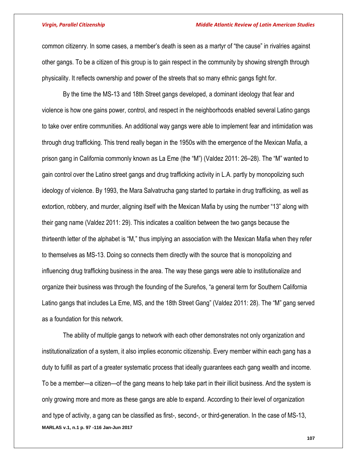### *Virgin, Parallel Citizenship Middle Atlantic Review of Latin American Studies*

common citizenry. In some cases, a member's death is seen as a martyr of "the cause" in rivalries against other gangs. To be a citizen of this group is to gain respect in the community by showing strength through physicality. It reflects ownership and power of the streets that so many ethnic gangs fight for.

By the time the MS-13 and 18th Street gangs developed, a dominant ideology that fear and violence is how one gains power, control, and respect in the neighborhoods enabled several Latino gangs to take over entire communities. An additional way gangs were able to implement fear and intimidation was through drug trafficking. This trend really began in the 1950s with the emergence of the Mexican Mafia, a prison gang in California commonly known as La Eme (the "M") (Valdez 2011: 26–28). The "M" wanted to gain control over the Latino street gangs and drug trafficking activity in L.A. partly by monopolizing such ideology of violence. By 1993, the Mara Salvatrucha gang started to partake in drug trafficking, as well as extortion, robbery, and murder, aligning itself with the Mexican Mafia by using the number "13" along with their gang name (Valdez 2011: 29). This indicates a coalition between the two gangs because the thirteenth letter of the alphabet is "M," thus implying an association with the Mexican Mafia when they refer to themselves as MS-13. Doing so connects them directly with the source that is monopolizing and influencing drug trafficking business in the area. The way these gangs were able to institutionalize and organize their business was through the founding of the Sureños, "a general term for Southern California Latino gangs that includes La Eme, MS, and the 18th Street Gang" (Valdez 2011: 28). The "M" gang served as a foundation for this network.

**MARLAS v.1, n.1 p. 97 -116 Jan-Jun 2017** The ability of multiple gangs to network with each other demonstrates not only organization and institutionalization of a system, it also implies economic citizenship. Every member within each gang has a duty to fulfill as part of a greater systematic process that ideally guarantees each gang wealth and income. To be a member—a citizen—of the gang means to help take part in their illicit business. And the system is only growing more and more as these gangs are able to expand. According to their level of organization and type of activity, a gang can be classified as first-, second-, or third-generation. In the case of MS-13,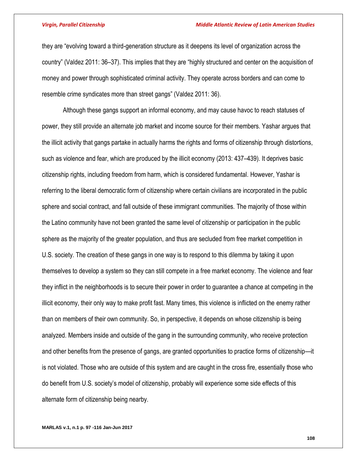### *Virgin, Parallel Citizenship Middle Atlantic Review of Latin American Studies*

they are "evolving toward a third-generation structure as it deepens its level of organization across the country" (Valdez 2011: 36–37). This implies that they are "highly structured and center on the acquisition of money and power through sophisticated criminal activity. They operate across borders and can come to resemble crime syndicates more than street gangs" (Valdez 2011: 36).

Although these gangs support an informal economy, and may cause havoc to reach statuses of power, they still provide an alternate job market and income source for their members. Yashar argues that the illicit activity that gangs partake in actually harms the rights and forms of citizenship through distortions, such as violence and fear, which are produced by the illicit economy (2013: 437–439). It deprives basic citizenship rights, including freedom from harm, which is considered fundamental. However, Yashar is referring to the liberal democratic form of citizenship where certain civilians are incorporated in the public sphere and social contract, and fall outside of these immigrant communities. The majority of those within the Latino community have not been granted the same level of citizenship or participation in the public sphere as the majority of the greater population, and thus are secluded from free market competition in U.S. society. The creation of these gangs in one way is to respond to this dilemma by taking it upon themselves to develop a system so they can still compete in a free market economy. The violence and fear they inflict in the neighborhoods is to secure their power in order to guarantee a chance at competing in the illicit economy, their only way to make profit fast. Many times, this violence is inflicted on the enemy rather than on members of their own community. So, in perspective, it depends on whose citizenship is being analyzed. Members inside and outside of the gang in the surrounding community, who receive protection and other benefits from the presence of gangs, are granted opportunities to practice forms of citizenship—it is not violated. Those who are outside of this system and are caught in the cross fire, essentially those who do benefit from U.S. society's model of citizenship, probably will experience some side effects of this alternate form of citizenship being nearby.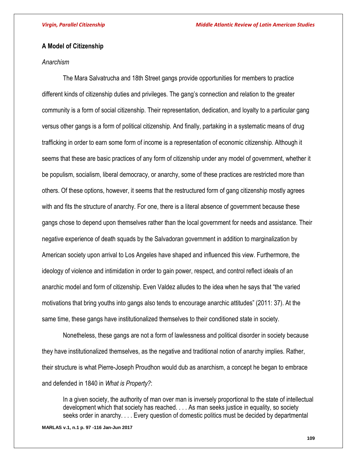## **A Model of Citizenship**

### *Anarchism*

The Mara Salvatrucha and 18th Street gangs provide opportunities for members to practice different kinds of citizenship duties and privileges. The gang's connection and relation to the greater community is a form of social citizenship. Their representation, dedication, and loyalty to a particular gang versus other gangs is a form of political citizenship. And finally, partaking in a systematic means of drug trafficking in order to earn some form of income is a representation of economic citizenship. Although it seems that these are basic practices of any form of citizenship under any model of government, whether it be populism, socialism, liberal democracy, or anarchy, some of these practices are restricted more than others. Of these options, however, it seems that the restructured form of gang citizenship mostly agrees with and fits the structure of anarchy. For one, there is a literal absence of government because these gangs chose to depend upon themselves rather than the local government for needs and assistance. Their negative experience of death squads by the Salvadoran government in addition to marginalization by American society upon arrival to Los Angeles have shaped and influenced this view. Furthermore, the ideology of violence and intimidation in order to gain power, respect, and control reflect ideals of an anarchic model and form of citizenship. Even Valdez alludes to the idea when he says that "the varied motivations that bring youths into gangs also tends to encourage anarchic attitudes" (2011: 37). At the same time, these gangs have institutionalized themselves to their conditioned state in society.

Nonetheless, these gangs are not a form of lawlessness and political disorder in society because they have institutionalized themselves, as the negative and traditional notion of anarchy implies. Rather, their structure is what Pierre-Joseph Proudhon would dub as anarchism, a concept he began to embrace and defended in 1840 in *What is Property?*:

In a given society, the authority of man over man is inversely proportional to the state of intellectual development which that society has reached. . . . As man seeks justice in equality, so society seeks order in anarchy. . . . Every question of domestic politics must be decided by departmental

**MARLAS v.1, n.1 p. 97 -116 Jan-Jun 2017**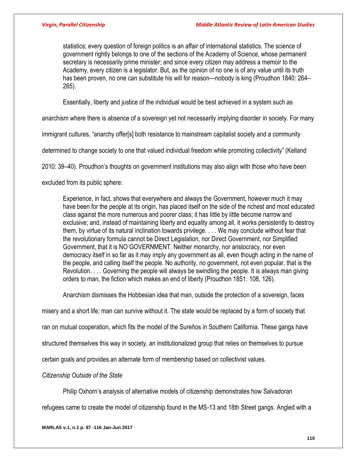statistics; every question of foreign politics is an affair of international statistics. The science of government rightly belongs to one of the sections of the Academy of Science, whose permanent secretary is necessarily prime minister; and since every citizen may address a memoir to the Academy, every citizen is a legislator. But, as the opinion of no one is of any value until its truth has been proven, no one can substitute his will for reason—nobody is king (Proudhon 1840: 264– 265).

Essentially, liberty and justice of the individual would be best achieved in a system such as

anarchism where there is absence of a sovereign yet not necessarily implying disorder in society. For many

immigrant cultures, "anarchy offer[s] both resistance to mainstream capitalist society and a community

determined to change society to one that valued individual freedom while promoting collectivity" (Kelland

2010: 39–40). Proudhon's thoughts on government institutions may also align with those who have been

excluded from its public sphere:

Experience, in fact, shows that everywhere and always the Government, however much it may have been for the people at its origin, has placed itself on the side of the richest and most educated class against the more numerous and poorer class; it has little by little become narrow and exclusive; and, instead of maintaining liberty and equality among all, it works persistently to destroy them, by virtue of its natural inclination towards privilege. . . . We may conclude without fear that the revolutionary formula cannot be Direct Legislation, nor Direct Government, nor Simplified Government, that it is NO GOVERNMENT. Neither monarchy, nor aristocracy, nor even democracy itself in so far as it may imply any government as all, even though acting in the name of the people, and calling itself the people. No authority, no government, not even popular, that is the Revolution. . . . Governing the people will always be swindling the people. It is always man giving orders to man, the fiction which makes an end of liberty (Proudhon 1851: 108, 126).

Anarchism dismisses the Hobbesian idea that man, outside the protection of a sovereign, faces

misery and a short life; man can survive without it. The state would be replaced by a form of society that

ran on mutual cooperation, which fits the model of the Sureños in Southern California. These gangs have

structured themselves this way in society, an institutionalized group that relies on themselves to pursue

certain goals and provides an alternate form of membership based on collectivist values.

*Citizenship Outside of the State*

Philip Oxhorn's analysis of alternative models of citizenship demonstrates how Salvadoran

refugees came to create the model of citizenship found in the MS-13 and 18th Street gangs. Angled with a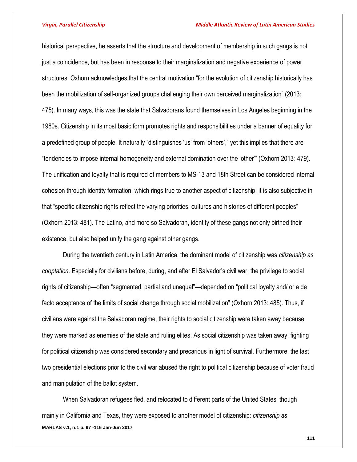historical perspective, he asserts that the structure and development of membership in such gangs is not just a coincidence, but has been in response to their marginalization and negative experience of power structures. Oxhorn acknowledges that the central motivation "for the evolution of citizenship historically has been the mobilization of self-organized groups challenging their own perceived marginalization" (2013: 475). In many ways, this was the state that Salvadorans found themselves in Los Angeles beginning in the 1980s. Citizenship in its most basic form promotes rights and responsibilities under a banner of equality for a predefined group of people. It naturally "distinguishes 'us' from 'others'," yet this implies that there are "tendencies to impose internal homogeneity and external domination over the 'other'" (Oxhorn 2013: 479). The unification and loyalty that is required of members to MS-13 and 18th Street can be considered internal cohesion through identity formation, which rings true to another aspect of citizenship: it is also subjective in that "specific citizenship rights reflect the varying priorities, cultures and histories of different peoples" (Oxhorn 2013: 481). The Latino, and more so Salvadoran, identity of these gangs not only birthed their existence, but also helped unify the gang against other gangs.

During the twentieth century in Latin America, the dominant model of citizenship was *citizenship as cooptation*. Especially for civilians before, during, and after El Salvador's civil war, the privilege to social rights of citizenship—often "segmented, partial and unequal"—depended on "political loyalty and/ or a de facto acceptance of the limits of social change through social mobilization" (Oxhorn 2013: 485). Thus, if civilians were against the Salvadoran regime, their rights to social citizenship were taken away because they were marked as enemies of the state and ruling elites. As social citizenship was taken away, fighting for political citizenship was considered secondary and precarious in light of survival. Furthermore, the last two presidential elections prior to the civil war abused the right to political citizenship because of voter fraud and manipulation of the ballot system.

**MARLAS v.1, n.1 p. 97 -116 Jan-Jun 2017** When Salvadoran refugees fled, and relocated to different parts of the United States, though mainly in California and Texas, they were exposed to another model of citizenship: *citizenship as*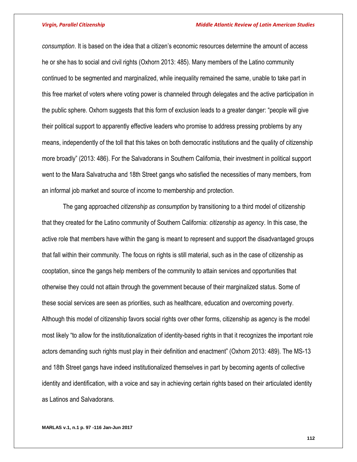*consumption*. It is based on the idea that a citizen's economic resources determine the amount of access he or she has to social and civil rights (Oxhorn 2013: 485). Many members of the Latino community continued to be segmented and marginalized, while inequality remained the same, unable to take part in this free market of voters where voting power is channeled through delegates and the active participation in the public sphere. Oxhorn suggests that this form of exclusion leads to a greater danger: "people will give their political support to apparently effective leaders who promise to address pressing problems by any means, independently of the toll that this takes on both democratic institutions and the quality of citizenship more broadly" (2013: 486). For the Salvadorans in Southern California, their investment in political support went to the Mara Salvatrucha and 18th Street gangs who satisfied the necessities of many members, from an informal job market and source of income to membership and protection.

The gang approached *citizenship as consumption* by transitioning to a third model of citizenship that they created for the Latino community of Southern California: *citizenship as agency*. In this case, the active role that members have within the gang is meant to represent and support the disadvantaged groups that fall within their community. The focus on rights is still material, such as in the case of citizenship as cooptation, since the gangs help members of the community to attain services and opportunities that otherwise they could not attain through the government because of their marginalized status. Some of these social services are seen as priorities, such as healthcare, education and overcoming poverty. Although this model of citizenship favors social rights over other forms, citizenship as agency is the model most likely "to allow for the institutionalization of identity-based rights in that it recognizes the important role actors demanding such rights must play in their definition and enactment" (Oxhorn 2013: 489). The MS-13 and 18th Street gangs have indeed institutionalized themselves in part by becoming agents of collective identity and identification, with a voice and say in achieving certain rights based on their articulated identity as Latinos and Salvadorans.

### **MARLAS v.1, n.1 p. 97 -116 Jan-Jun 2017**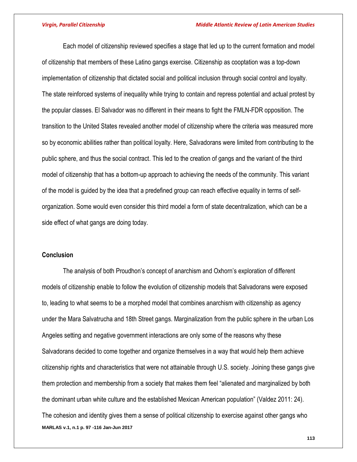Each model of citizenship reviewed specifies a stage that led up to the current formation and model of citizenship that members of these Latino gangs exercise. Citizenship as cooptation was a top-down implementation of citizenship that dictated social and political inclusion through social control and loyalty. The state reinforced systems of inequality while trying to contain and repress potential and actual protest by the popular classes. El Salvador was no different in their means to fight the FMLN-FDR opposition. The transition to the United States revealed another model of citizenship where the criteria was measured more so by economic abilities rather than political loyalty. Here, Salvadorans were limited from contributing to the public sphere, and thus the social contract. This led to the creation of gangs and the variant of the third model of citizenship that has a bottom-up approach to achieving the needs of the community. This variant of the model is guided by the idea that a predefined group can reach effective equality in terms of selforganization. Some would even consider this third model a form of state decentralization, which can be a side effect of what gangs are doing today.

## **Conclusion**

**MARLAS v.1, n.1 p. 97 -116 Jan-Jun 2017** The analysis of both Proudhon's concept of anarchism and Oxhorn's exploration of different models of citizenship enable to follow the evolution of citizenship models that Salvadorans were exposed to, leading to what seems to be a morphed model that combines anarchism with citizenship as agency under the Mara Salvatrucha and 18th Street gangs. Marginalization from the public sphere in the urban Los Angeles setting and negative government interactions are only some of the reasons why these Salvadorans decided to come together and organize themselves in a way that would help them achieve citizenship rights and characteristics that were not attainable through U.S. society. Joining these gangs give them protection and membership from a society that makes them feel "alienated and marginalized by both the dominant urban white culture and the established Mexican American population" (Valdez 2011: 24). The cohesion and identity gives them a sense of political citizenship to exercise against other gangs who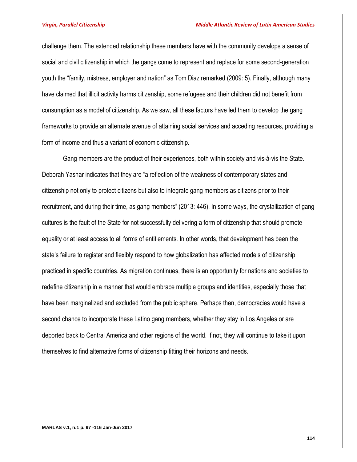challenge them. The extended relationship these members have with the community develops a sense of social and civil citizenship in which the gangs come to represent and replace for some second-generation youth the "family, mistress, employer and nation" as Tom Diaz remarked (2009: 5). Finally, although many have claimed that illicit activity harms citizenship, some refugees and their children did not benefit from consumption as a model of citizenship. As we saw, all these factors have led them to develop the gang frameworks to provide an alternate avenue of attaining social services and acceding resources, providing a form of income and thus a variant of economic citizenship.

Gang members are the product of their experiences, both within society and vis-à-vis the State. Deborah Yashar indicates that they are "a reflection of the weakness of contemporary states and citizenship not only to protect citizens but also to integrate gang members as citizens prior to their recruitment, and during their time, as gang members" (2013: 446). In some ways, the crystallization of gang cultures is the fault of the State for not successfully delivering a form of citizenship that should promote equality or at least access to all forms of entitlements. In other words, that development has been the state's failure to register and flexibly respond to how globalization has affected models of citizenship practiced in specific countries. As migration continues, there is an opportunity for nations and societies to redefine citizenship in a manner that would embrace multiple groups and identities, especially those that have been marginalized and excluded from the public sphere. Perhaps then, democracies would have a second chance to incorporate these Latino gang members, whether they stay in Los Angeles or are deported back to Central America and other regions of the world. If not, they will continue to take it upon themselves to find alternative forms of citizenship fitting their horizons and needs.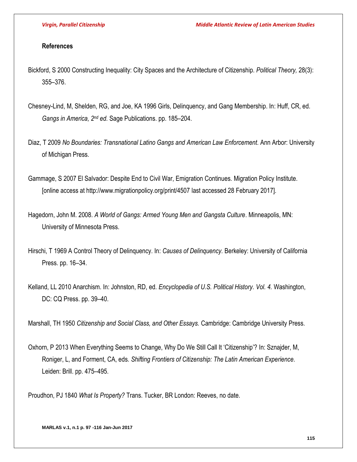## **References**

- Bickford, S 2000 Constructing Inequality: City Spaces and the Architecture of Citizenship. *Political Theory,* 28(3): 355–376.
- Chesney-Lind, M, Shelden, RG, and Joe, KA 1996 Girls, Delinquency, and Gang Membership. In: Huff, CR, ed. Gangs in America, 2<sup>nd</sup> ed. Sage Publications. pp. 185–204.
- Diaz, T 2009 *No Boundaries: Transnational Latino Gangs and American Law Enforcement.* Ann Arbor: University of Michigan Press.
- Gammage, S 2007 El Salvador: Despite End to Civil War, Emigration Continues. Migration Policy Institute. [online access at http://www.migrationpolicy.org/print/4507 last accessed 28 February 2017].
- Hagedorn, John M. 2008. *A World of Gangs: Armed Young Men and Gangsta Culture*. Minneapolis, MN: University of Minnesota Press.
- Hirschi, T 1969 A Control Theory of Delinquency. In: *Causes of Delinquency.* Berkeley: University of California Press. pp. 16–34.
- Kelland, LL 2010 Anarchism. In: Johnston, RD, ed. *Encyclopedia of U.S. Political History. Vol. 4.* Washington, DC: CQ Press. pp. 39–40.

Marshall, TH 1950 *Citizenship and Social Class, and Other Essays.* Cambridge: Cambridge University Press.

Oxhorn, P 2013 When Everything Seems to Change, Why Do We Still Call It 'Citizenship'? In: Sznajder, M, Roniger, L, and Forment, CA, eds. *Shifting Frontiers of Citizenship: The Latin American Experience.* Leiden: Brill. pp. 475–495.

Proudhon, PJ 1840 *What Is Property?* Trans. Tucker, BR London: Reeves, no date.